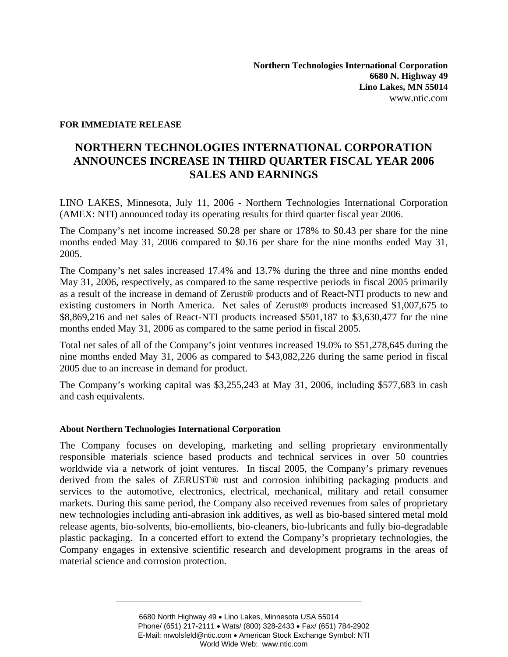## **FOR IMMEDIATE RELEASE**

## **NORTHERN TECHNOLOGIES INTERNATIONAL CORPORATION ANNOUNCES INCREASE IN THIRD QUARTER FISCAL YEAR 2006 SALES AND EARNINGS**

LINO LAKES, Minnesota, July 11, 2006 - Northern Technologies International Corporation (AMEX: NTI) announced today its operating results for third quarter fiscal year 2006.

The Company's net income increased \$0.28 per share or 178% to \$0.43 per share for the nine months ended May 31, 2006 compared to \$0.16 per share for the nine months ended May 31, 2005.

The Company's net sales increased 17.4% and 13.7% during the three and nine months ended May 31, 2006, respectively, as compared to the same respective periods in fiscal 2005 primarily as a result of the increase in demand of Zerust® products and of React-NTI products to new and existing customers in North America. Net sales of Zerust® products increased \$1,007,675 to \$8,869,216 and net sales of React-NTI products increased \$501,187 to \$3,630,477 for the nine months ended May 31, 2006 as compared to the same period in fiscal 2005.

Total net sales of all of the Company's joint ventures increased 19.0% to \$51,278,645 during the nine months ended May 31, 2006 as compared to \$43,082,226 during the same period in fiscal 2005 due to an increase in demand for product.

The Company's working capital was \$3,255,243 at May 31, 2006, including \$577,683 in cash and cash equivalents.

## **About Northern Technologies International Corporation**

The Company focuses on developing, marketing and selling proprietary environmentally responsible materials science based products and technical services in over 50 countries worldwide via a network of joint ventures. In fiscal 2005, the Company's primary revenues derived from the sales of ZERUST® rust and corrosion inhibiting packaging products and services to the automotive, electronics, electrical, mechanical, military and retail consumer markets. During this same period, the Company also received revenues from sales of proprietary new technologies including anti-abrasion ink additives, as well as bio-based sintered metal mold release agents, bio-solvents, bio-emollients, bio-cleaners, bio-lubricants and fully bio-degradable plastic packaging. In a concerted effort to extend the Company's proprietary technologies, the Company engages in extensive scientific research and development programs in the areas of material science and corrosion protection.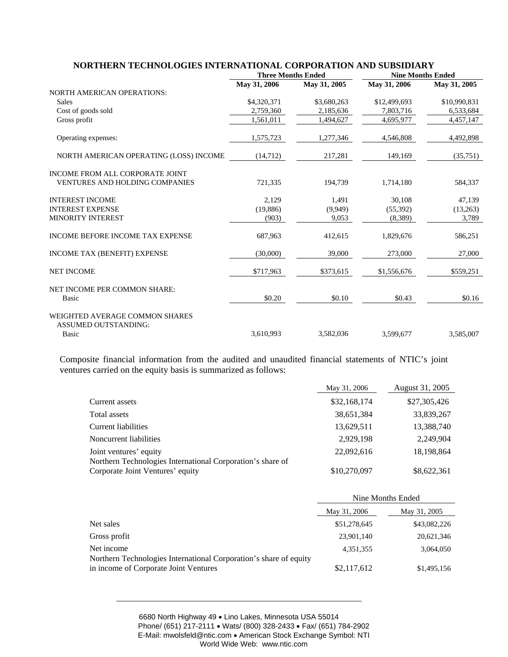|                                                                   | <b>Three Months Ended</b> |              | <b>Nine Months Ended</b> |              |
|-------------------------------------------------------------------|---------------------------|--------------|--------------------------|--------------|
|                                                                   | May 31, 2006              | May 31, 2005 | May 31, 2006             | May 31, 2005 |
| <b>NORTH AMERICAN OPERATIONS:</b>                                 |                           |              |                          |              |
| <b>Sales</b>                                                      | \$4,320,371               | \$3,680,263  | \$12,499,693             | \$10,990,831 |
| Cost of goods sold                                                | 2,759,360                 | 2,185,636    | 7,803,716                | 6,533,684    |
| Gross profit                                                      | 1,561,011                 | 1,494,627    | 4,695,977                | 4,457,147    |
| Operating expenses:                                               | 1,575,723                 | 1,277,346    | 4,546,808                | 4,492,898    |
| NORTH AMERICAN OPERATING (LOSS) INCOME                            | (14,712)                  | 217,281      | 149,169                  | (35,751)     |
| INCOME FROM ALL CORPORATE JOINT<br>VENTURES AND HOLDING COMPANIES | 721,335                   | 194,739      | 1,714,180                | 584,337      |
| <b>INTEREST INCOME</b>                                            | 2.129                     | 1,491        | 30,108                   | 47.139       |
| <b>INTEREST EXPENSE</b>                                           | (19,886)                  | (9,949)      | (55, 392)                | (13,263)     |
| <b>MINORITY INTEREST</b>                                          | (903)                     | 9,053        | (8,389)                  | 3,789        |
| <b>INCOME BEFORE INCOME TAX EXPENSE</b>                           | 687,963                   | 412,615      | 1,829,676                | 586,251      |
| INCOME TAX (BENEFIT) EXPENSE                                      | (30,000)                  | 39,000       | 273,000                  | 27,000       |
| <b>NET INCOME</b>                                                 | \$717,963                 | \$373,615    | \$1,556,676              | \$559,251    |
| NET INCOME PER COMMON SHARE:                                      |                           |              |                          |              |
| <b>Basic</b>                                                      | \$0.20                    | \$0.10       | \$0.43                   | \$0.16       |
| WEIGHTED AVERAGE COMMON SHARES<br><b>ASSUMED OUTSTANDING:</b>     |                           |              |                          |              |
| <b>Basic</b>                                                      | 3,610,993                 | 3,582,036    | 3,599,677                | 3,585,007    |

**NORTHERN TECHNOLOGIES INTERNATIONAL CORPORATION AND SUBSIDIARY** 

Composite financial information from the audited and unaudited financial statements of NTIC's joint ventures carried on the equity basis is summarized as follows:

|                                                            | May 31, 2006 | August 31, 2005 |
|------------------------------------------------------------|--------------|-----------------|
| Current assets                                             | \$32,168,174 | \$27,305,426    |
| Total assets                                               | 38,651,384   | 33,839,267      |
| Current liabilities                                        | 13,629,511   | 13,388,740      |
| Noncurrent liabilities                                     | 2.929.198    | 2,249,904       |
| Joint ventures' equity                                     | 22,092,616   | 18,198,864      |
| Northern Technologies International Corporation's share of |              |                 |
| Corporate Joint Ventures' equity                           | \$10,270,097 | \$8,622,361     |

|                                                                                 | Nine Months Ended |              |  |
|---------------------------------------------------------------------------------|-------------------|--------------|--|
|                                                                                 | May 31, 2006      | May 31, 2005 |  |
| Net sales                                                                       | \$51,278,645      | \$43,082,226 |  |
| Gross profit                                                                    | 23,901,140        | 20,621,346   |  |
| Net income<br>Northern Technologies International Corporation's share of equity | 4,351,355         | 3,064,050    |  |
| in income of Corporate Joint Ventures                                           | \$2,117,612       | \$1,495,156  |  |

6680 North Highway 49 • Lino Lakes, Minnesota USA 55014 Phone/ (651) 217-2111 • Wats/ (800) 328-2433 • Fax/ (651) 784-2902 E-Mail: mwolsfeld@ntic.com • American Stock Exchange Symbol: NTI World Wide Web: www.ntic.com